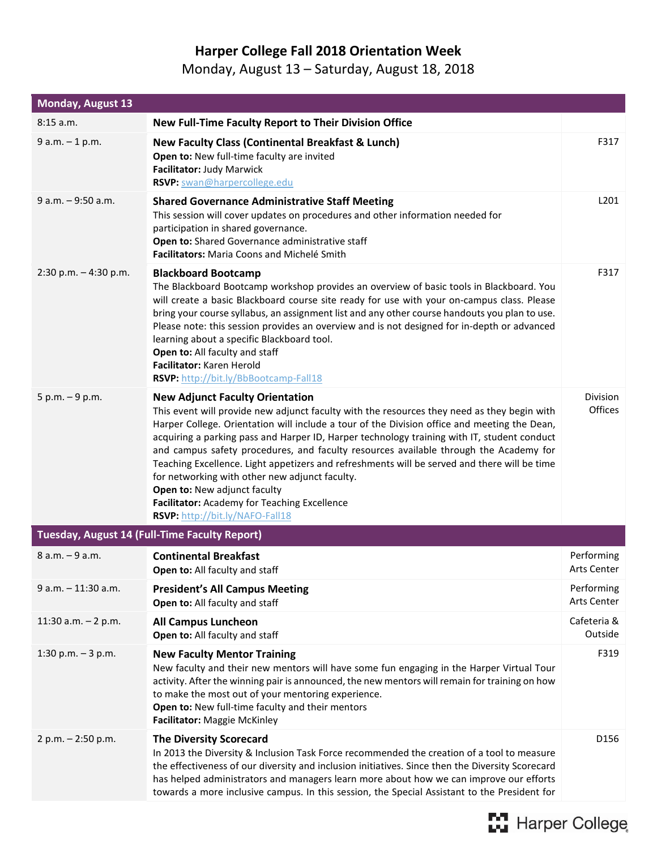## **Harper College Fall 2018 Orientation Week**

## Monday, August 13 – Saturday, August 18, 2018

| <b>Monday, August 13</b> |                                                                                                                                                                                                                                                                                                                                                                                                                                                                                                                                                                                                                                                                                                    |                                  |
|--------------------------|----------------------------------------------------------------------------------------------------------------------------------------------------------------------------------------------------------------------------------------------------------------------------------------------------------------------------------------------------------------------------------------------------------------------------------------------------------------------------------------------------------------------------------------------------------------------------------------------------------------------------------------------------------------------------------------------------|----------------------------------|
| 8:15a.m.                 | New Full-Time Faculty Report to Their Division Office                                                                                                                                                                                                                                                                                                                                                                                                                                                                                                                                                                                                                                              |                                  |
| $9 a.m. - 1 p.m.$        | New Faculty Class (Continental Breakfast & Lunch)<br>Open to: New full-time faculty are invited<br>Facilitator: Judy Marwick<br>RSVP: swan@harpercollege.edu                                                                                                                                                                                                                                                                                                                                                                                                                                                                                                                                       | F317                             |
| $9 a.m. - 9:50 a.m.$     | <b>Shared Governance Administrative Staff Meeting</b><br>This session will cover updates on procedures and other information needed for<br>participation in shared governance.<br>Open to: Shared Governance administrative staff<br>Facilitators: Maria Coons and Michelé Smith                                                                                                                                                                                                                                                                                                                                                                                                                   | L201                             |
| $2:30$ p.m. $-4:30$ p.m. | <b>Blackboard Bootcamp</b><br>The Blackboard Bootcamp workshop provides an overview of basic tools in Blackboard. You<br>will create a basic Blackboard course site ready for use with your on-campus class. Please<br>bring your course syllabus, an assignment list and any other course handouts you plan to use.<br>Please note: this session provides an overview and is not designed for in-depth or advanced<br>learning about a specific Blackboard tool.<br>Open to: All faculty and staff<br>Facilitator: Karen Herold<br>RSVP: http://bit.ly/BbBootcamp-Fall18                                                                                                                          | F317                             |
| $5 p.m. - 9 p.m.$        | <b>New Adjunct Faculty Orientation</b><br>This event will provide new adjunct faculty with the resources they need as they begin with<br>Harper College. Orientation will include a tour of the Division office and meeting the Dean,<br>acquiring a parking pass and Harper ID, Harper technology training with IT, student conduct<br>and campus safety procedures, and faculty resources available through the Academy for<br>Teaching Excellence. Light appetizers and refreshments will be served and there will be time<br>for networking with other new adjunct faculty.<br>Open to: New adjunct faculty<br>Facilitator: Academy for Teaching Excellence<br>RSVP: http://bit.ly/NAFO-Fall18 | <b>Division</b><br>Offices       |
|                          | Tuesday, August 14 (Full-Time Faculty Report)                                                                                                                                                                                                                                                                                                                                                                                                                                                                                                                                                                                                                                                      |                                  |
| 8 a.m. - 9 a.m.          | <b>Continental Breakfast</b><br>Open to: All faculty and staff                                                                                                                                                                                                                                                                                                                                                                                                                                                                                                                                                                                                                                     | Performing<br>Arts Center        |
| $9 a.m. - 11:30 a.m.$    | <b>President's All Campus Meeting</b><br>Open to: All faculty and staff                                                                                                                                                                                                                                                                                                                                                                                                                                                                                                                                                                                                                            | Performing<br><b>Arts Center</b> |
| 11:30 a.m. $- 2 p.m.$    | <b>All Campus Luncheon</b><br>Open to: All faculty and staff                                                                                                                                                                                                                                                                                                                                                                                                                                                                                                                                                                                                                                       | Cafeteria &<br>Outside           |
| 1:30 p.m. $-3$ p.m.      | <b>New Faculty Mentor Training</b><br>New faculty and their new mentors will have some fun engaging in the Harper Virtual Tour<br>activity. After the winning pair is announced, the new mentors will remain for training on how<br>to make the most out of your mentoring experience.<br>Open to: New full-time faculty and their mentors<br>Facilitator: Maggie McKinley                                                                                                                                                                                                                                                                                                                         | F319                             |
| 2 p.m. - 2:50 p.m.       | <b>The Diversity Scorecard</b><br>In 2013 the Diversity & Inclusion Task Force recommended the creation of a tool to measure<br>the effectiveness of our diversity and inclusion initiatives. Since then the Diversity Scorecard<br>has helped administrators and managers learn more about how we can improve our efforts<br>towards a more inclusive campus. In this session, the Special Assistant to the President for                                                                                                                                                                                                                                                                         | D156                             |

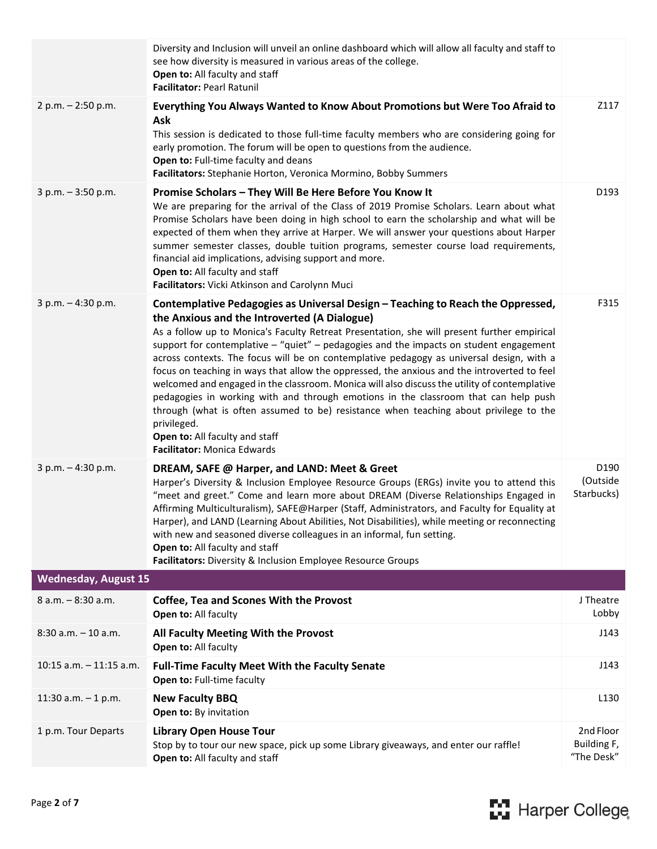|                             | Diversity and Inclusion will unveil an online dashboard which will allow all faculty and staff to<br>see how diversity is measured in various areas of the college.<br>Open to: All faculty and staff<br>Facilitator: Pearl Ratunil                                                                                                                                                                                                                                                                                                                                                                                                                                                                                                                                                                                                                                                          |                                        |
|-----------------------------|----------------------------------------------------------------------------------------------------------------------------------------------------------------------------------------------------------------------------------------------------------------------------------------------------------------------------------------------------------------------------------------------------------------------------------------------------------------------------------------------------------------------------------------------------------------------------------------------------------------------------------------------------------------------------------------------------------------------------------------------------------------------------------------------------------------------------------------------------------------------------------------------|----------------------------------------|
| 2 p.m. - 2:50 p.m.          | Everything You Always Wanted to Know About Promotions but Were Too Afraid to<br>Ask<br>This session is dedicated to those full-time faculty members who are considering going for<br>early promotion. The forum will be open to questions from the audience.<br>Open to: Full-time faculty and deans<br>Facilitators: Stephanie Horton, Veronica Mormino, Bobby Summers                                                                                                                                                                                                                                                                                                                                                                                                                                                                                                                      | Z117                                   |
| $3 p.m. - 3:50 p.m.$        | Promise Scholars - They Will Be Here Before You Know It<br>We are preparing for the arrival of the Class of 2019 Promise Scholars. Learn about what<br>Promise Scholars have been doing in high school to earn the scholarship and what will be<br>expected of them when they arrive at Harper. We will answer your questions about Harper<br>summer semester classes, double tuition programs, semester course load requirements,<br>financial aid implications, advising support and more.<br>Open to: All faculty and staff<br>Facilitators: Vicki Atkinson and Carolynn Muci                                                                                                                                                                                                                                                                                                             | D193                                   |
| 3 p.m. - 4:30 p.m.          | Contemplative Pedagogies as Universal Design - Teaching to Reach the Oppressed,<br>the Anxious and the Introverted (A Dialogue)<br>As a follow up to Monica's Faculty Retreat Presentation, she will present further empirical<br>support for contemplative $-$ "quiet" – pedagogies and the impacts on student engagement<br>across contexts. The focus will be on contemplative pedagogy as universal design, with a<br>focus on teaching in ways that allow the oppressed, the anxious and the introverted to feel<br>welcomed and engaged in the classroom. Monica will also discuss the utility of contemplative<br>pedagogies in working with and through emotions in the classroom that can help push<br>through (what is often assumed to be) resistance when teaching about privilege to the<br>privileged.<br>Open to: All faculty and staff<br><b>Facilitator: Monica Edwards</b> | F315                                   |
| 3 p.m. - 4:30 p.m.          | DREAM, SAFE @ Harper, and LAND: Meet & Greet<br>Harper's Diversity & Inclusion Employee Resource Groups (ERGs) invite you to attend this<br>"meet and greet." Come and learn more about DREAM (Diverse Relationships Engaged in<br>Affirming Multiculturalism), SAFE@Harper (Staff, Administrators, and Faculty for Equality at<br>Harper), and LAND (Learning About Abilities, Not Disabilities), while meeting or reconnecting<br>with new and seasoned diverse colleagues in an informal, fun setting.<br>Open to: All faculty and staff<br>Facilitators: Diversity & Inclusion Employee Resource Groups                                                                                                                                                                                                                                                                                  | D190<br>(Outside<br>Starbucks)         |
| <b>Wednesday, August 15</b> |                                                                                                                                                                                                                                                                                                                                                                                                                                                                                                                                                                                                                                                                                                                                                                                                                                                                                              |                                        |
| 8 a.m. - 8:30 a.m.          | <b>Coffee, Tea and Scones With the Provost</b><br>Open to: All faculty                                                                                                                                                                                                                                                                                                                                                                                                                                                                                                                                                                                                                                                                                                                                                                                                                       | J Theatre<br>Lobby                     |
| $8:30$ a.m. $-10$ a.m.      | All Faculty Meeting With the Provost<br>Open to: All faculty                                                                                                                                                                                                                                                                                                                                                                                                                                                                                                                                                                                                                                                                                                                                                                                                                                 | J143                                   |
| $10:15$ a.m. $-11:15$ a.m.  | <b>Full-Time Faculty Meet With the Faculty Senate</b><br>Open to: Full-time faculty                                                                                                                                                                                                                                                                                                                                                                                                                                                                                                                                                                                                                                                                                                                                                                                                          | J143                                   |
| 11:30 a.m. $-1$ p.m.        | <b>New Faculty BBQ</b><br>Open to: By invitation                                                                                                                                                                                                                                                                                                                                                                                                                                                                                                                                                                                                                                                                                                                                                                                                                                             | L <sub>130</sub>                       |
| 1 p.m. Tour Departs         | <b>Library Open House Tour</b><br>Stop by to tour our new space, pick up some Library giveaways, and enter our raffle!<br>Open to: All faculty and staff                                                                                                                                                                                                                                                                                                                                                                                                                                                                                                                                                                                                                                                                                                                                     | 2nd Floor<br>Building F,<br>"The Desk" |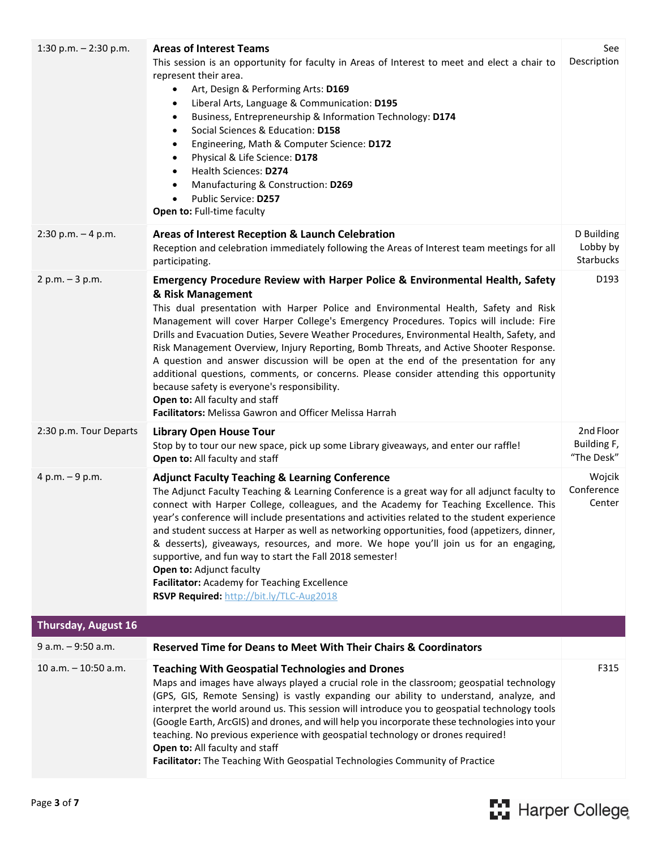| 1:30 p.m. $- 2:30$ p.m. | <b>Areas of Interest Teams</b><br>This session is an opportunity for faculty in Areas of Interest to meet and elect a chair to<br>represent their area.<br>Art, Design & Performing Arts: D169<br>$\bullet$<br>Liberal Arts, Language & Communication: D195<br>٠<br>Business, Entrepreneurship & Information Technology: D174<br>٠<br>Social Sciences & Education: D158<br>٠<br>Engineering, Math & Computer Science: D172<br>٠<br>Physical & Life Science: D178<br>$\bullet$<br>Health Sciences: D274<br>$\bullet$<br>Manufacturing & Construction: D269<br>$\bullet$<br>Public Service: D257<br>$\bullet$<br>Open to: Full-time faculty                                                                                                                                                                             | See<br>Description                     |
|-------------------------|-----------------------------------------------------------------------------------------------------------------------------------------------------------------------------------------------------------------------------------------------------------------------------------------------------------------------------------------------------------------------------------------------------------------------------------------------------------------------------------------------------------------------------------------------------------------------------------------------------------------------------------------------------------------------------------------------------------------------------------------------------------------------------------------------------------------------|----------------------------------------|
| $2:30$ p.m. $-4$ p.m.   | Areas of Interest Reception & Launch Celebration<br>Reception and celebration immediately following the Areas of Interest team meetings for all<br>participating.                                                                                                                                                                                                                                                                                                                                                                                                                                                                                                                                                                                                                                                     | D Building<br>Lobby by<br>Starbucks    |
| $2 p.m. - 3 p.m.$       | <b>Emergency Procedure Review with Harper Police &amp; Environmental Health, Safety</b><br>& Risk Management<br>This dual presentation with Harper Police and Environmental Health, Safety and Risk<br>Management will cover Harper College's Emergency Procedures. Topics will include: Fire<br>Drills and Evacuation Duties, Severe Weather Procedures, Environmental Health, Safety, and<br>Risk Management Overview, Injury Reporting, Bomb Threats, and Active Shooter Response.<br>A question and answer discussion will be open at the end of the presentation for any<br>additional questions, comments, or concerns. Please consider attending this opportunity<br>because safety is everyone's responsibility.<br>Open to: All faculty and staff<br>Facilitators: Melissa Gawron and Officer Melissa Harrah | D193                                   |
| 2:30 p.m. Tour Departs  | <b>Library Open House Tour</b><br>Stop by to tour our new space, pick up some Library giveaways, and enter our raffle!<br>Open to: All faculty and staff                                                                                                                                                                                                                                                                                                                                                                                                                                                                                                                                                                                                                                                              | 2nd Floor<br>Building F,<br>"The Desk" |
| 4 p.m. $-9$ p.m.        | <b>Adjunct Faculty Teaching &amp; Learning Conference</b><br>The Adjunct Faculty Teaching & Learning Conference is a great way for all adjunct faculty to<br>connect with Harper College, colleagues, and the Academy for Teaching Excellence. This<br>year's conference will include presentations and activities related to the student experience<br>and student success at Harper as well as networking opportunities, food (appetizers, dinner,<br>& desserts), giveaways, resources, and more. We hope you'll join us for an engaging,<br>supportive, and fun way to start the Fall 2018 semester!<br>Open to: Adjunct faculty<br>Facilitator: Academy for Teaching Excellence<br>RSVP Required: http://bit.ly/TLC-Aug2018                                                                                      | Wojcik<br>Conference<br>Center         |
| Thursday, August 16     |                                                                                                                                                                                                                                                                                                                                                                                                                                                                                                                                                                                                                                                                                                                                                                                                                       |                                        |
| $9 a.m. - 9:50 a.m.$    | <b>Reserved Time for Deans to Meet With Their Chairs &amp; Coordinators</b>                                                                                                                                                                                                                                                                                                                                                                                                                                                                                                                                                                                                                                                                                                                                           |                                        |
| $10$ a.m. $-10:50$ a.m. | <b>Teaching With Geospatial Technologies and Drones</b><br>Maps and images have always played a crucial role in the classroom; geospatial technology<br>(GPS, GIS, Remote Sensing) is vastly expanding our ability to understand, analyze, and<br>interpret the world around us. This session will introduce you to geospatial technology tools<br>(Google Earth, ArcGIS) and drones, and will help you incorporate these technologies into your<br>teaching. No previous experience with geospatial technology or drones required!<br>Open to: All faculty and staff<br>Facilitator: The Teaching With Geospatial Technologies Community of Practice                                                                                                                                                                 | F315                                   |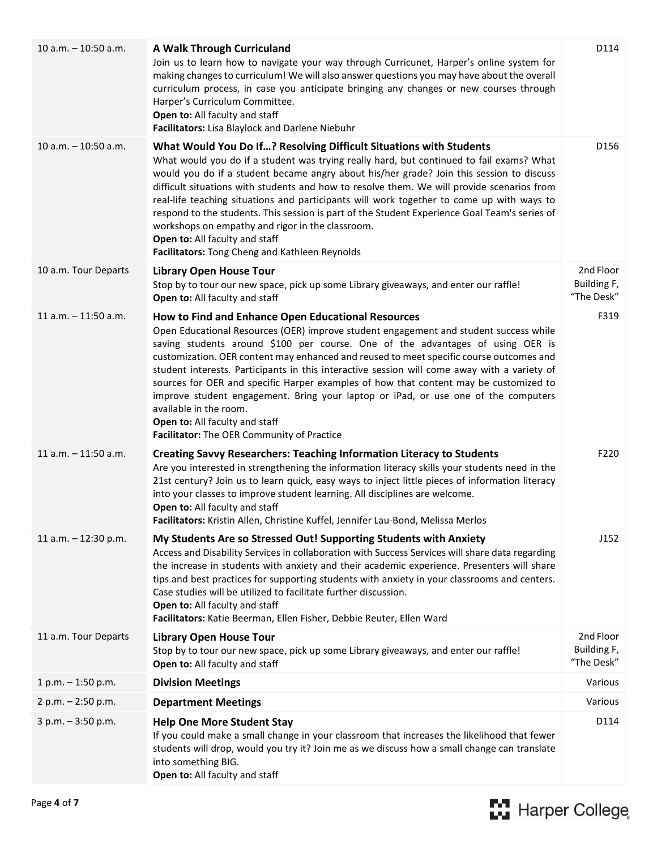| $10$ a.m. $-10:50$ a.m. | A Walk Through Curriculand<br>Join us to learn how to navigate your way through Curricunet, Harper's online system for<br>making changes to curriculum! We will also answer questions you may have about the overall<br>curriculum process, in case you anticipate bringing any changes or new courses through<br>Harper's Curriculum Committee.<br>Open to: All faculty and staff<br>Facilitators: Lisa Blaylock and Darlene Niebuhr                                                                                                                                                                                                                                                                             | D114                                   |
|-------------------------|-------------------------------------------------------------------------------------------------------------------------------------------------------------------------------------------------------------------------------------------------------------------------------------------------------------------------------------------------------------------------------------------------------------------------------------------------------------------------------------------------------------------------------------------------------------------------------------------------------------------------------------------------------------------------------------------------------------------|----------------------------------------|
| 10 a.m. $-$ 10:50 a.m.  | What Would You Do If? Resolving Difficult Situations with Students<br>What would you do if a student was trying really hard, but continued to fail exams? What<br>would you do if a student became angry about his/her grade? Join this session to discuss<br>difficult situations with students and how to resolve them. We will provide scenarios from<br>real-life teaching situations and participants will work together to come up with ways to<br>respond to the students. This session is part of the Student Experience Goal Team's series of<br>workshops on empathy and rigor in the classroom.<br>Open to: All faculty and staff<br>Facilitators: Tong Cheng and Kathleen Reynolds                    | D156                                   |
| 10 a.m. Tour Departs    | <b>Library Open House Tour</b><br>Stop by to tour our new space, pick up some Library giveaways, and enter our raffle!<br>Open to: All faculty and staff                                                                                                                                                                                                                                                                                                                                                                                                                                                                                                                                                          | 2nd Floor<br>Building F,<br>"The Desk" |
| $11$ a.m. $-11:50$ a.m. | How to Find and Enhance Open Educational Resources<br>Open Educational Resources (OER) improve student engagement and student success while<br>saving students around \$100 per course. One of the advantages of using OER is<br>customization. OER content may enhanced and reused to meet specific course outcomes and<br>student interests. Participants in this interactive session will come away with a variety of<br>sources for OER and specific Harper examples of how that content may be customized to<br>improve student engagement. Bring your laptop or iPad, or use one of the computers<br>available in the room.<br>Open to: All faculty and staff<br>Facilitator: The OER Community of Practice | F319                                   |
| $11$ a.m. $-11:50$ a.m. | <b>Creating Savvy Researchers: Teaching Information Literacy to Students</b><br>Are you interested in strengthening the information literacy skills your students need in the<br>21st century? Join us to learn quick, easy ways to inject little pieces of information literacy<br>into your classes to improve student learning. All disciplines are welcome.<br>Open to: All faculty and staff<br>Facilitators: Kristin Allen, Christine Kuffel, Jennifer Lau-Bond, Melissa Merlos                                                                                                                                                                                                                             | F220                                   |
| 11 a.m. $-$ 12:30 p.m.  | My Students Are so Stressed Out! Supporting Students with Anxiety<br>Access and Disability Services in collaboration with Success Services will share data regarding<br>the increase in students with anxiety and their academic experience. Presenters will share<br>tips and best practices for supporting students with anxiety in your classrooms and centers.<br>Case studies will be utilized to facilitate further discussion.<br>Open to: All faculty and staff<br>Facilitators: Katie Beerman, Ellen Fisher, Debbie Reuter, Ellen Ward                                                                                                                                                                   | J152                                   |
| 11 a.m. Tour Departs    | <b>Library Open House Tour</b><br>Stop by to tour our new space, pick up some Library giveaways, and enter our raffle!<br>Open to: All faculty and staff                                                                                                                                                                                                                                                                                                                                                                                                                                                                                                                                                          | 2nd Floor<br>Building F,<br>"The Desk" |
| $1 p.m. - 1:50 p.m.$    | <b>Division Meetings</b>                                                                                                                                                                                                                                                                                                                                                                                                                                                                                                                                                                                                                                                                                          | Various                                |
| $2 p.m. - 2:50 p.m.$    | <b>Department Meetings</b>                                                                                                                                                                                                                                                                                                                                                                                                                                                                                                                                                                                                                                                                                        | Various                                |
| $3 p.m. - 3:50 p.m.$    | <b>Help One More Student Stay</b><br>If you could make a small change in your classroom that increases the likelihood that fewer<br>students will drop, would you try it? Join me as we discuss how a small change can translate<br>into something BIG.<br>Open to: All faculty and staff                                                                                                                                                                                                                                                                                                                                                                                                                         | D114                                   |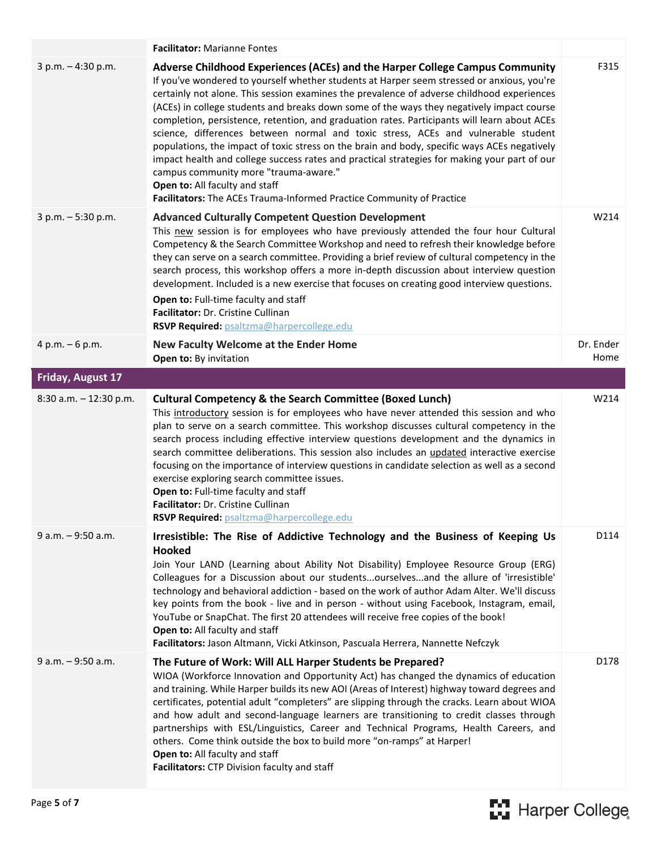|                           | <b>Facilitator: Marianne Fontes</b>                                                                                                                                                                                                                                                                                                                                                                                                                                                                                                                                                                                                                                                                                                                                                                                                                                                                            |                   |
|---------------------------|----------------------------------------------------------------------------------------------------------------------------------------------------------------------------------------------------------------------------------------------------------------------------------------------------------------------------------------------------------------------------------------------------------------------------------------------------------------------------------------------------------------------------------------------------------------------------------------------------------------------------------------------------------------------------------------------------------------------------------------------------------------------------------------------------------------------------------------------------------------------------------------------------------------|-------------------|
| $3 p.m. - 4:30 p.m.$      | Adverse Childhood Experiences (ACEs) and the Harper College Campus Community<br>If you've wondered to yourself whether students at Harper seem stressed or anxious, you're<br>certainly not alone. This session examines the prevalence of adverse childhood experiences<br>(ACEs) in college students and breaks down some of the ways they negatively impact course<br>completion, persistence, retention, and graduation rates. Participants will learn about ACEs<br>science, differences between normal and toxic stress, ACEs and vulnerable student<br>populations, the impact of toxic stress on the brain and body, specific ways ACEs negatively<br>impact health and college success rates and practical strategies for making your part of our<br>campus community more "trauma-aware."<br>Open to: All faculty and staff<br>Facilitators: The ACEs Trauma-Informed Practice Community of Practice | F315              |
| $3 p.m. - 5:30 p.m.$      | <b>Advanced Culturally Competent Question Development</b><br>This new session is for employees who have previously attended the four hour Cultural<br>Competency & the Search Committee Workshop and need to refresh their knowledge before<br>they can serve on a search committee. Providing a brief review of cultural competency in the<br>search process, this workshop offers a more in-depth discussion about interview question<br>development. Included is a new exercise that focuses on creating good interview questions.<br>Open to: Full-time faculty and staff<br>Facilitator: Dr. Cristine Cullinan<br>RSVP Required: psaltzma@harpercollege.edu                                                                                                                                                                                                                                               | W214              |
| $4 p.m. - 6 p.m.$         | New Faculty Welcome at the Ender Home<br>Open to: By invitation                                                                                                                                                                                                                                                                                                                                                                                                                                                                                                                                                                                                                                                                                                                                                                                                                                                | Dr. Ender<br>Home |
| Friday, August 17         |                                                                                                                                                                                                                                                                                                                                                                                                                                                                                                                                                                                                                                                                                                                                                                                                                                                                                                                |                   |
| $8:30$ a.m. $-12:30$ p.m. | <b>Cultural Competency &amp; the Search Committee (Boxed Lunch)</b><br>This introductory session is for employees who have never attended this session and who                                                                                                                                                                                                                                                                                                                                                                                                                                                                                                                                                                                                                                                                                                                                                 | W214              |
|                           | plan to serve on a search committee. This workshop discusses cultural competency in the<br>search process including effective interview questions development and the dynamics in<br>search committee deliberations. This session also includes an updated interactive exercise<br>focusing on the importance of interview questions in candidate selection as well as a second<br>exercise exploring search committee issues.<br>Open to: Full-time faculty and staff<br>Facilitator: Dr. Cristine Cullinan<br>RSVP Required: psaltzma@harpercollege.edu                                                                                                                                                                                                                                                                                                                                                      |                   |
| $9 a.m. - 9:50 a.m.$      | Irresistible: The Rise of Addictive Technology and the Business of Keeping Us<br>Hooked<br>Join Your LAND (Learning about Ability Not Disability) Employee Resource Group (ERG)<br>Colleagues for a Discussion about our studentsourselvesand the allure of 'irresistible'<br>technology and behavioral addiction - based on the work of author Adam Alter. We'll discuss<br>key points from the book - live and in person - without using Facebook, Instagram, email,<br>YouTube or SnapChat. The first 20 attendees will receive free copies of the book!<br>Open to: All faculty and staff<br>Facilitators: Jason Altmann, Vicki Atkinson, Pascuala Herrera, Nannette Nefczyk                                                                                                                                                                                                                               | D114              |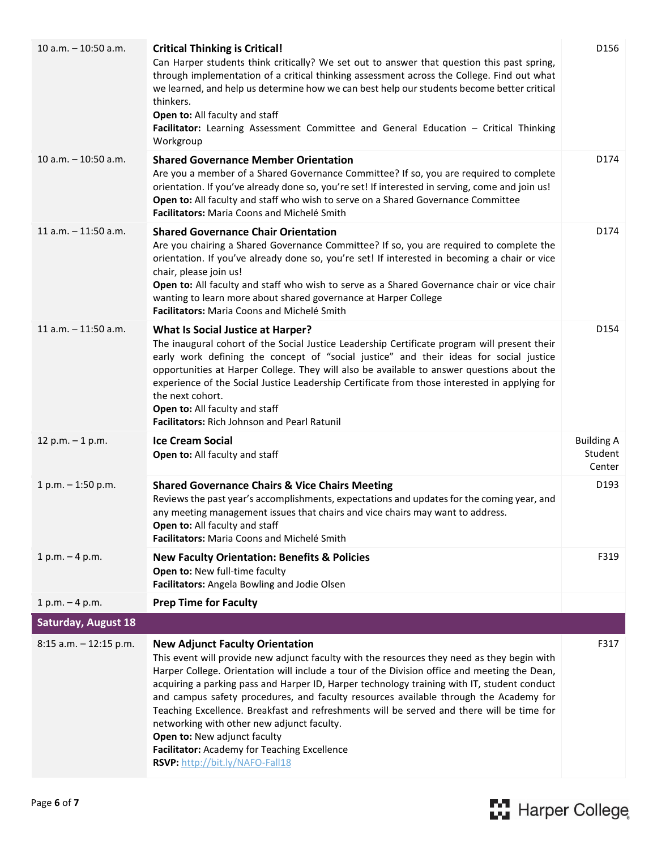| $10$ a.m. $-10:50$ a.m.    | <b>Critical Thinking is Critical!</b><br>Can Harper students think critically? We set out to answer that question this past spring,<br>through implementation of a critical thinking assessment across the College. Find out what<br>we learned, and help us determine how we can best help our students become better critical<br>thinkers.<br>Open to: All faculty and staff<br>Facilitator: Learning Assessment Committee and General Education - Critical Thinking<br>Workgroup                                                                                                                                                                                                         | D156                                   |
|----------------------------|---------------------------------------------------------------------------------------------------------------------------------------------------------------------------------------------------------------------------------------------------------------------------------------------------------------------------------------------------------------------------------------------------------------------------------------------------------------------------------------------------------------------------------------------------------------------------------------------------------------------------------------------------------------------------------------------|----------------------------------------|
| $10 a.m. - 10:50 a.m.$     | <b>Shared Governance Member Orientation</b><br>Are you a member of a Shared Governance Committee? If so, you are required to complete<br>orientation. If you've already done so, you're set! If interested in serving, come and join us!<br>Open to: All faculty and staff who wish to serve on a Shared Governance Committee<br>Facilitators: Maria Coons and Michelé Smith                                                                                                                                                                                                                                                                                                                | D174                                   |
| $11$ a.m. $-11:50$ a.m.    | <b>Shared Governance Chair Orientation</b><br>Are you chairing a Shared Governance Committee? If so, you are required to complete the<br>orientation. If you've already done so, you're set! If interested in becoming a chair or vice<br>chair, please join us!<br>Open to: All faculty and staff who wish to serve as a Shared Governance chair or vice chair<br>wanting to learn more about shared governance at Harper College<br>Facilitators: Maria Coons and Michelé Smith                                                                                                                                                                                                           | D174                                   |
| $11$ a.m. $-11:50$ a.m.    | <b>What Is Social Justice at Harper?</b><br>The inaugural cohort of the Social Justice Leadership Certificate program will present their<br>early work defining the concept of "social justice" and their ideas for social justice<br>opportunities at Harper College. They will also be available to answer questions about the<br>experience of the Social Justice Leadership Certificate from those interested in applying for<br>the next cohort.<br>Open to: All faculty and staff<br>Facilitators: Rich Johnson and Pearl Ratunil                                                                                                                                                     | D154                                   |
| 12 p.m. $-1$ p.m.          | <b>Ice Cream Social</b><br>Open to: All faculty and staff                                                                                                                                                                                                                                                                                                                                                                                                                                                                                                                                                                                                                                   | <b>Building A</b><br>Student<br>Center |
| $1 p.m. - 1:50 p.m.$       | <b>Shared Governance Chairs &amp; Vice Chairs Meeting</b><br>Reviews the past year's accomplishments, expectations and updates for the coming year, and<br>any meeting management issues that chairs and vice chairs may want to address.<br>Open to: All faculty and staff<br>Facilitators: Maria Coons and Michelé Smith                                                                                                                                                                                                                                                                                                                                                                  | D193                                   |
| $1 p.m. - 4 p.m.$          | <b>New Faculty Orientation: Benefits &amp; Policies</b><br>Open to: New full-time faculty<br>Facilitators: Angela Bowling and Jodie Olsen                                                                                                                                                                                                                                                                                                                                                                                                                                                                                                                                                   | F319                                   |
| $1 p.m. - 4 p.m.$          | <b>Prep Time for Faculty</b>                                                                                                                                                                                                                                                                                                                                                                                                                                                                                                                                                                                                                                                                |                                        |
| <b>Saturday, August 18</b> |                                                                                                                                                                                                                                                                                                                                                                                                                                                                                                                                                                                                                                                                                             |                                        |
| $8:15$ a.m. $-12:15$ p.m.  | <b>New Adjunct Faculty Orientation</b><br>This event will provide new adjunct faculty with the resources they need as they begin with<br>Harper College. Orientation will include a tour of the Division office and meeting the Dean,<br>acquiring a parking pass and Harper ID, Harper technology training with IT, student conduct<br>and campus safety procedures, and faculty resources available through the Academy for<br>Teaching Excellence. Breakfast and refreshments will be served and there will be time for<br>networking with other new adjunct faculty.<br>Open to: New adjunct faculty<br>Facilitator: Academy for Teaching Excellence<br>RSVP: http://bit.ly/NAFO-Fall18 | F317                                   |